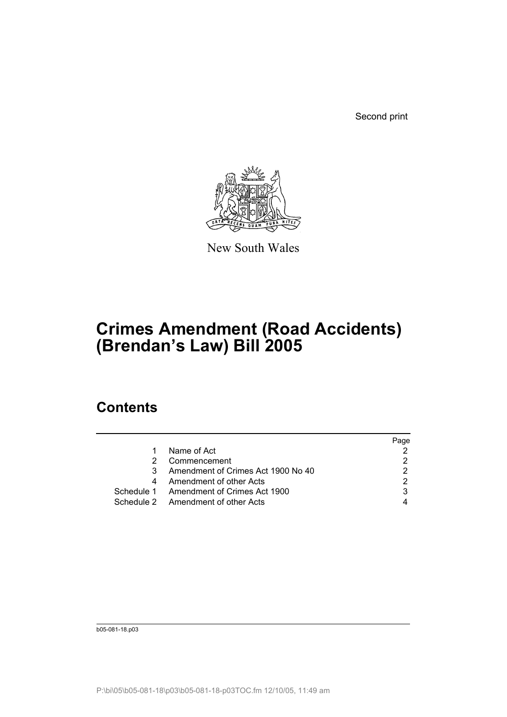Second print



New South Wales

# **Crimes Amendment (Road Accidents) (Brendan's Law) Bill 2005**

### **Contents**

| 1 | Name of Act                             |  |
|---|-----------------------------------------|--|
| 2 | Commencement                            |  |
| 3 | Amendment of Crimes Act 1900 No 40      |  |
| 4 | Amendment of other Acts                 |  |
|   | Schedule 1 Amendment of Crimes Act 1900 |  |
|   | Schedule 2 Amendment of other Acts      |  |

b05-081-18.p03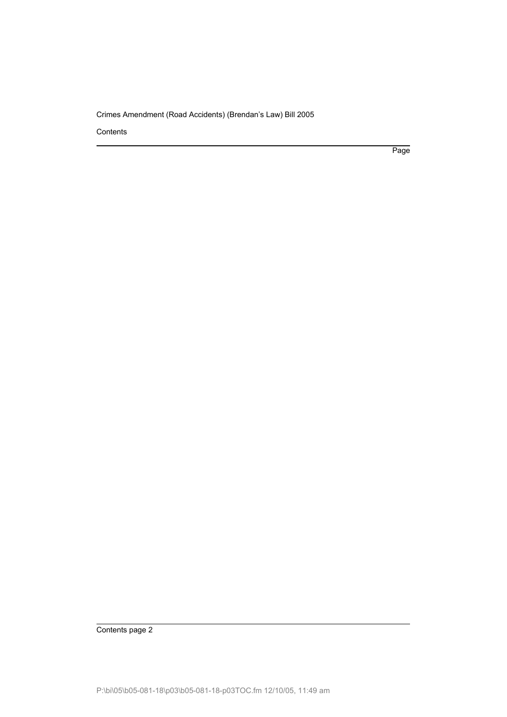Contents

Page

Contents page 2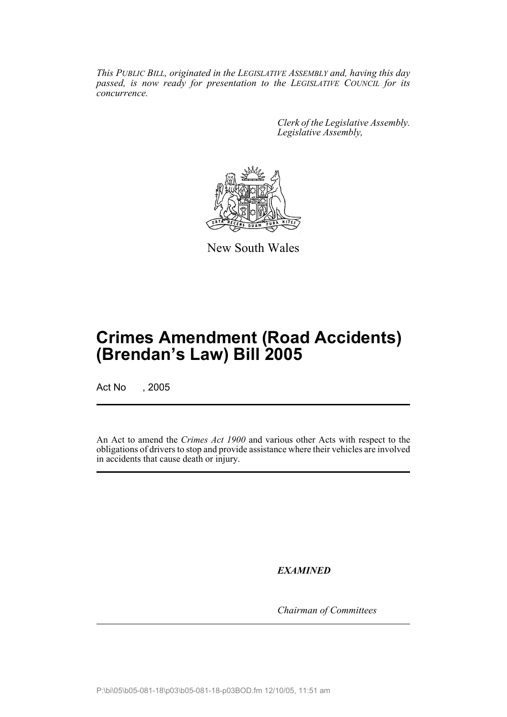*This PUBLIC BILL, originated in the LEGISLATIVE ASSEMBLY and, having this day passed, is now ready for presentation to the LEGISLATIVE COUNCIL for its concurrence.*

> *Clerk of the Legislative Assembly. Legislative Assembly,*



New South Wales

## **Crimes Amendment (Road Accidents) (Brendan's Law) Bill 2005**

Act No , 2005

An Act to amend the *Crimes Act 1900* and various other Acts with respect to the obligations of drivers to stop and provide assistance where their vehicles are involved in accidents that cause death or injury.

*EXAMINED*

*Chairman of Committees*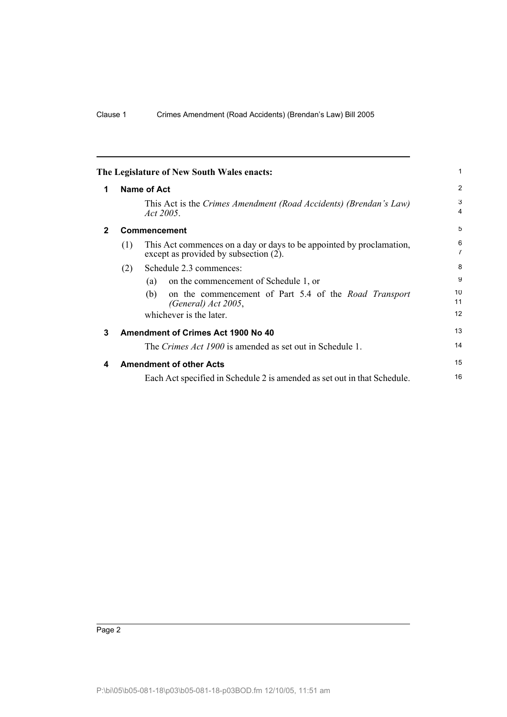|              |     | The Legislature of New South Wales enacts:                                                                    | 1        |
|--------------|-----|---------------------------------------------------------------------------------------------------------------|----------|
| 1            |     | Name of Act                                                                                                   | 2        |
|              |     | This Act is the Crimes Amendment (Road Accidents) (Brendan's Law)<br>Act 2005.                                | 3<br>4   |
| $\mathbf{2}$ |     | <b>Commencement</b>                                                                                           | 5        |
|              | (1) | This Act commences on a day or days to be appointed by proclamation,<br>except as provided by subsection (2). | 6<br>7   |
|              | (2) | Schedule 2.3 commences:                                                                                       | 8        |
|              |     | on the commencement of Schedule 1, or<br>(a)                                                                  | 9        |
|              |     | on the commencement of Part 5.4 of the <i>Road Transport</i><br>(b)<br>(General) $Act$ 2005,                  | 10<br>11 |
|              |     | whichever is the later.                                                                                       | 12       |
| 3            |     | Amendment of Crimes Act 1900 No 40                                                                            | 13       |
|              |     | The Crimes Act 1900 is amended as set out in Schedule 1.                                                      | 14       |
| 4            |     | <b>Amendment of other Acts</b>                                                                                | 15       |
|              |     | Each Act specified in Schedule 2 is amended as set out in that Schedule.                                      | 16       |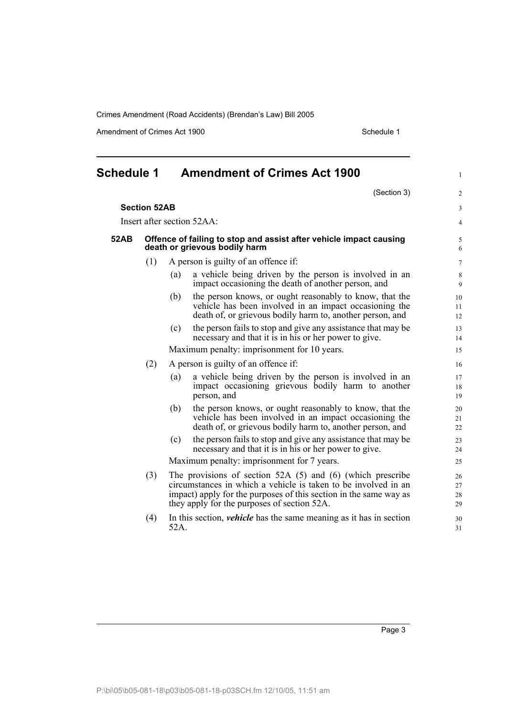Amendment of Crimes Act 1900 Schedule 1

| <b>Schedule 1</b>                                                                                                                                                                                                                                                                                                                                                                                                                                                                                                                                                                                                                                                                                                                                                                                                                                                                                                                                                                                                                                                                                                                                                                                                                                                                                                                                          |                | <b>Amendment of Crimes Act 1900</b>                                                                                                                                                | $\mathbf{1}$         |
|------------------------------------------------------------------------------------------------------------------------------------------------------------------------------------------------------------------------------------------------------------------------------------------------------------------------------------------------------------------------------------------------------------------------------------------------------------------------------------------------------------------------------------------------------------------------------------------------------------------------------------------------------------------------------------------------------------------------------------------------------------------------------------------------------------------------------------------------------------------------------------------------------------------------------------------------------------------------------------------------------------------------------------------------------------------------------------------------------------------------------------------------------------------------------------------------------------------------------------------------------------------------------------------------------------------------------------------------------------|----------------|------------------------------------------------------------------------------------------------------------------------------------------------------------------------------------|----------------------|
|                                                                                                                                                                                                                                                                                                                                                                                                                                                                                                                                                                                                                                                                                                                                                                                                                                                                                                                                                                                                                                                                                                                                                                                                                                                                                                                                                            |                | (Section 3)                                                                                                                                                                        | $\overline{2}$       |
| <b>Section 52AB</b><br>Insert after section 52AA:<br><b>52AB</b><br>Offence of failing to stop and assist after vehicle impact causing<br>death or grievous bodily harm<br>(1)<br>A person is guilty of an offence if:<br>a vehicle being driven by the person is involved in an<br>(a)<br>impact occasioning the death of another person, and<br>(b)<br>the person knows, or ought reasonably to know, that the<br>vehicle has been involved in an impact occasioning the<br>death of, or grievous bodily harm to, another person, and<br>the person fails to stop and give any assistance that may be<br>(c)<br>necessary and that it is in his or her power to give.<br>Maximum penalty: imprisonment for 10 years.<br>(2)<br>A person is guilty of an offence if:<br>a vehicle being driven by the person is involved in an<br>(a)<br>impact occasioning grievous bodily harm to another<br>person, and<br>the person knows, or ought reasonably to know, that the<br>(b)<br>vehicle has been involved in an impact occasioning the<br>death of, or grievous bodily harm to, another person, and<br>(c)<br>the person fails to stop and give any assistance that may be<br>necessary and that it is in his or her power to give.<br>Maximum penalty: imprisonment for 7 years.<br>(3)<br>The provisions of section $52A(5)$ and $(6)$ (which prescribe | 3              |                                                                                                                                                                                    |                      |
|                                                                                                                                                                                                                                                                                                                                                                                                                                                                                                                                                                                                                                                                                                                                                                                                                                                                                                                                                                                                                                                                                                                                                                                                                                                                                                                                                            | $\overline{4}$ |                                                                                                                                                                                    |                      |
|                                                                                                                                                                                                                                                                                                                                                                                                                                                                                                                                                                                                                                                                                                                                                                                                                                                                                                                                                                                                                                                                                                                                                                                                                                                                                                                                                            |                |                                                                                                                                                                                    | 5<br>6               |
|                                                                                                                                                                                                                                                                                                                                                                                                                                                                                                                                                                                                                                                                                                                                                                                                                                                                                                                                                                                                                                                                                                                                                                                                                                                                                                                                                            |                |                                                                                                                                                                                    | $\tau$               |
|                                                                                                                                                                                                                                                                                                                                                                                                                                                                                                                                                                                                                                                                                                                                                                                                                                                                                                                                                                                                                                                                                                                                                                                                                                                                                                                                                            |                |                                                                                                                                                                                    | $\,$ 8 $\,$<br>9     |
|                                                                                                                                                                                                                                                                                                                                                                                                                                                                                                                                                                                                                                                                                                                                                                                                                                                                                                                                                                                                                                                                                                                                                                                                                                                                                                                                                            |                |                                                                                                                                                                                    | 10<br>11<br>12       |
|                                                                                                                                                                                                                                                                                                                                                                                                                                                                                                                                                                                                                                                                                                                                                                                                                                                                                                                                                                                                                                                                                                                                                                                                                                                                                                                                                            |                |                                                                                                                                                                                    | 13<br>14             |
|                                                                                                                                                                                                                                                                                                                                                                                                                                                                                                                                                                                                                                                                                                                                                                                                                                                                                                                                                                                                                                                                                                                                                                                                                                                                                                                                                            |                |                                                                                                                                                                                    | 15                   |
|                                                                                                                                                                                                                                                                                                                                                                                                                                                                                                                                                                                                                                                                                                                                                                                                                                                                                                                                                                                                                                                                                                                                                                                                                                                                                                                                                            |                |                                                                                                                                                                                    | 16                   |
|                                                                                                                                                                                                                                                                                                                                                                                                                                                                                                                                                                                                                                                                                                                                                                                                                                                                                                                                                                                                                                                                                                                                                                                                                                                                                                                                                            |                |                                                                                                                                                                                    | 17<br>18<br>19       |
|                                                                                                                                                                                                                                                                                                                                                                                                                                                                                                                                                                                                                                                                                                                                                                                                                                                                                                                                                                                                                                                                                                                                                                                                                                                                                                                                                            |                |                                                                                                                                                                                    | 20<br>21<br>22       |
|                                                                                                                                                                                                                                                                                                                                                                                                                                                                                                                                                                                                                                                                                                                                                                                                                                                                                                                                                                                                                                                                                                                                                                                                                                                                                                                                                            |                |                                                                                                                                                                                    | 23<br>24             |
|                                                                                                                                                                                                                                                                                                                                                                                                                                                                                                                                                                                                                                                                                                                                                                                                                                                                                                                                                                                                                                                                                                                                                                                                                                                                                                                                                            |                |                                                                                                                                                                                    | 25                   |
|                                                                                                                                                                                                                                                                                                                                                                                                                                                                                                                                                                                                                                                                                                                                                                                                                                                                                                                                                                                                                                                                                                                                                                                                                                                                                                                                                            |                | circumstances in which a vehicle is taken to be involved in an<br>impact) apply for the purposes of this section in the same way as<br>they apply for the purposes of section 52A. | 26<br>27<br>28<br>29 |
|                                                                                                                                                                                                                                                                                                                                                                                                                                                                                                                                                                                                                                                                                                                                                                                                                                                                                                                                                                                                                                                                                                                                                                                                                                                                                                                                                            | (4)            | In this section, <i>vehicle</i> has the same meaning as it has in section<br>52A.                                                                                                  | 30<br>31             |

Page 3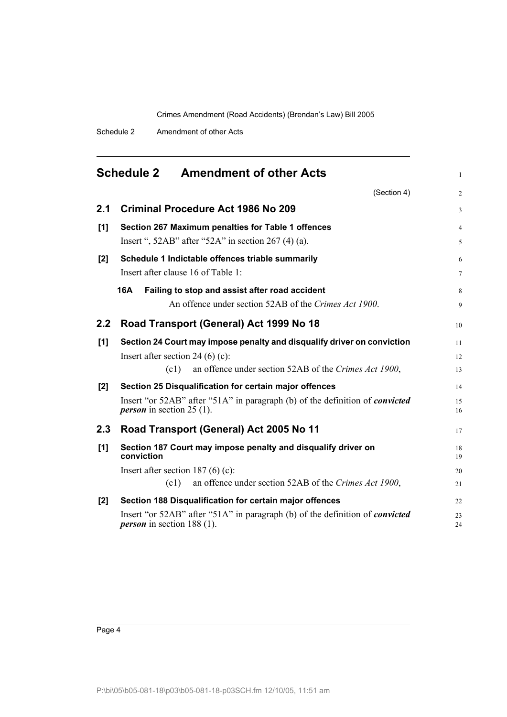|     | <b>Schedule 2</b><br><b>Amendment of other Acts</b>                                                                      | $\mathbf{1}$   |
|-----|--------------------------------------------------------------------------------------------------------------------------|----------------|
|     | (Section 4)                                                                                                              | $\overline{c}$ |
| 2.1 | Criminal Procedure Act 1986 No 209                                                                                       | 3              |
| [1] | Section 267 Maximum penalties for Table 1 offences                                                                       | $\overline{4}$ |
|     | Insert ", $52AB$ " after " $52A$ " in section $267(4)(a)$ .                                                              | 5              |
| [2] | Schedule 1 Indictable offences triable summarily                                                                         | 6              |
|     | Insert after clause 16 of Table 1:                                                                                       | 7              |
|     | 16A<br>Failing to stop and assist after road accident                                                                    | 8              |
|     | An offence under section 52AB of the Crimes Act 1900.                                                                    | 9              |
| 2.2 | Road Transport (General) Act 1999 No 18                                                                                  | 10             |
| [1] | Section 24 Court may impose penalty and disqualify driver on conviction                                                  | 11             |
|     | Insert after section 24 (6) (c):                                                                                         | 12             |
|     | (c1)<br>an offence under section 52AB of the Crimes Act 1900,                                                            | 13             |
| [2] | Section 25 Disqualification for certain major offences                                                                   | 14             |
|     | Insert "or 52AB" after "51A" in paragraph (b) of the definition of <i>convicted</i><br><i>person</i> in section 25 (1).  | 15<br>16       |
| 2.3 | Road Transport (General) Act 2005 No 11                                                                                  | 17             |
| [1] | Section 187 Court may impose penalty and disqualify driver on<br>conviction                                              | 18<br>19       |
|     | Insert after section 187 $(6)$ $(c)$ :                                                                                   | 20             |
|     | (c1)<br>an offence under section 52AB of the Crimes Act 1900,                                                            | 21             |
| [2] | Section 188 Disqualification for certain major offences                                                                  | 22             |
|     | Insert "or 52AB" after "51A" in paragraph (b) of the definition of <i>convicted</i><br><i>person</i> in section 188 (1). | 23<br>24       |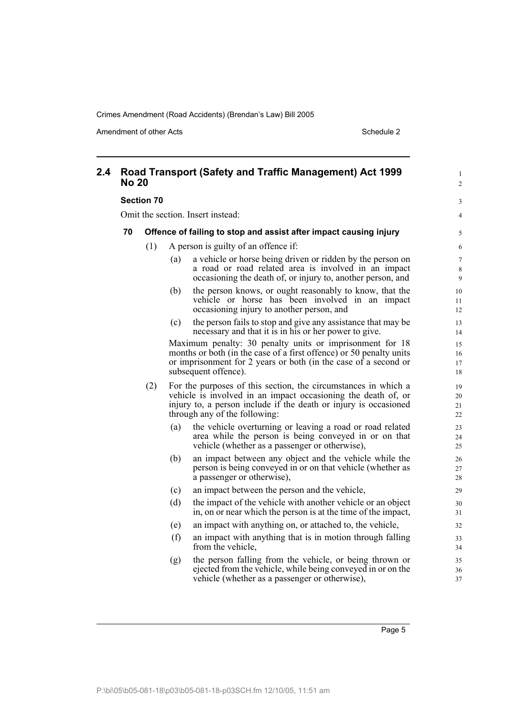Amendment of other Acts Schedule 2

| 2.4 | Road Transport (Safety and Traffic Management) Act 1999<br><b>No 20</b> |                                                                   | 1<br>$\overline{c}$ |                                                                                                                                                                                                                                      |                          |
|-----|-------------------------------------------------------------------------|-------------------------------------------------------------------|---------------------|--------------------------------------------------------------------------------------------------------------------------------------------------------------------------------------------------------------------------------------|--------------------------|
|     |                                                                         | <b>Section 70</b>                                                 |                     |                                                                                                                                                                                                                                      | 3                        |
|     | Omit the section. Insert instead:                                       |                                                                   |                     | $\overline{4}$                                                                                                                                                                                                                       |                          |
|     | 70                                                                      | Offence of failing to stop and assist after impact causing injury |                     |                                                                                                                                                                                                                                      | 5                        |
|     |                                                                         | (1)                                                               |                     | A person is guilty of an offence if:                                                                                                                                                                                                 | 6                        |
|     |                                                                         |                                                                   | (a)                 | a vehicle or horse being driven or ridden by the person on<br>a road or road related area is involved in an impact<br>occasioning the death of, or injury to, another person, and                                                    | $\overline{7}$<br>8<br>9 |
|     |                                                                         |                                                                   | (b)                 | the person knows, or ought reasonably to know, that the<br>vehicle or horse has been involved in an impact<br>occasioning injury to another person, and                                                                              | 10<br>11<br>12           |
|     |                                                                         |                                                                   | (c)                 | the person fails to stop and give any assistance that may be<br>necessary and that it is in his or her power to give.                                                                                                                | 13<br>14                 |
|     |                                                                         |                                                                   |                     | Maximum penalty: 30 penalty units or imprisonment for 18<br>months or both (in the case of a first offence) or 50 penalty units<br>or imprisonment for 2 years or both (in the case of a second or<br>subsequent offence).           | 15<br>16<br>17<br>18     |
|     |                                                                         | (2)                                                               |                     | For the purposes of this section, the circumstances in which a<br>vehicle is involved in an impact occasioning the death of, or<br>injury to, a person include if the death or injury is occasioned<br>through any of the following: | 19<br>20<br>21<br>22     |
|     |                                                                         |                                                                   | (a)                 | the vehicle overturning or leaving a road or road related<br>area while the person is being conveyed in or on that<br>vehicle (whether as a passenger or otherwise),                                                                 | 23<br>24<br>25           |
|     |                                                                         |                                                                   | (b)                 | an impact between any object and the vehicle while the<br>person is being conveyed in or on that vehicle (whether as<br>a passenger or otherwise),                                                                                   | 26<br>27<br>28           |
|     |                                                                         |                                                                   | (c)                 | an impact between the person and the vehicle,                                                                                                                                                                                        | 29                       |
|     |                                                                         |                                                                   | (d)                 | the impact of the vehicle with another vehicle or an object<br>in, on or near which the person is at the time of the impact,                                                                                                         | 30<br>31                 |
|     |                                                                         |                                                                   | (e)                 | an impact with anything on, or attached to, the vehicle,                                                                                                                                                                             | 32                       |
|     |                                                                         |                                                                   | (f)                 | an impact with anything that is in motion through falling<br>from the vehicle,                                                                                                                                                       | 33<br>34                 |
|     |                                                                         |                                                                   | (g)                 | the person falling from the vehicle, or being thrown or<br>ejected from the vehicle, while being conveyed in or on the<br>vehicle (whether as a passenger or otherwise),                                                             | 35<br>36<br>37           |

Page 5